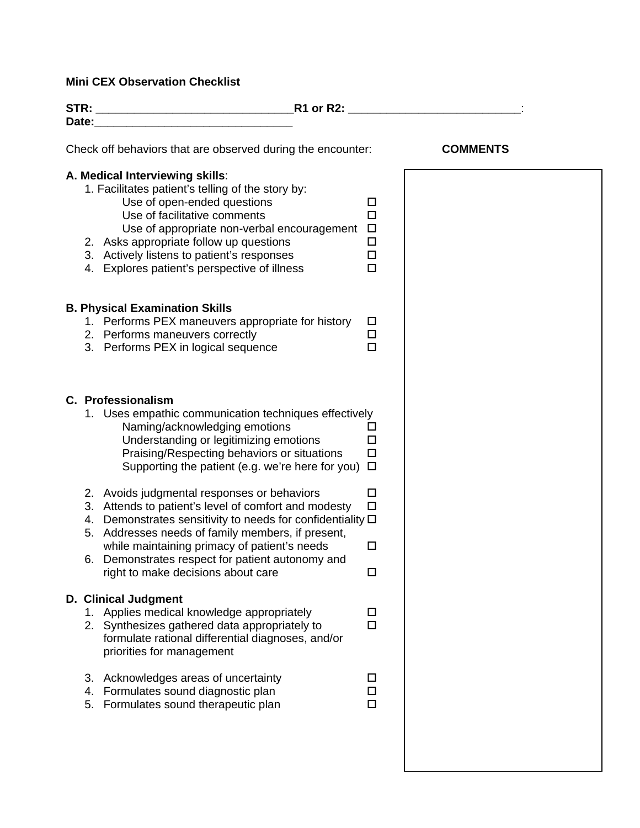## **Mini CEX Observation Checklist**

| $R1$ or $R2$ :<br>Date: the contract of the contract of the contract of the contract of the contract of the contract of the contract of the contract of the contract of the contract of the contract of the contract of the contract of the cont                                                                                                                      |                                      |                 |  |
|-----------------------------------------------------------------------------------------------------------------------------------------------------------------------------------------------------------------------------------------------------------------------------------------------------------------------------------------------------------------------|--------------------------------------|-----------------|--|
|                                                                                                                                                                                                                                                                                                                                                                       |                                      |                 |  |
| Check off behaviors that are observed during the encounter:                                                                                                                                                                                                                                                                                                           |                                      | <b>COMMENTS</b> |  |
| A. Medical Interviewing skills:<br>1. Facilitates patient's telling of the story by:<br>Use of open-ended questions<br>Use of facilitative comments<br>Use of appropriate non-verbal encouragement<br>2. Asks appropriate follow up questions<br>3. Actively listens to patient's responses<br>4. Explores patient's perspective of illness                           | □<br>□<br>$\Box$<br>$\Box$<br>□<br>□ |                 |  |
| <b>B. Physical Examination Skills</b><br>1. Performs PEX maneuvers appropriate for history<br>2. Performs maneuvers correctly<br>3. Performs PEX in logical sequence                                                                                                                                                                                                  | $\Box$<br>$\Box$<br>□                |                 |  |
| C. Professionalism<br>1. Uses empathic communication techniques effectively<br>Naming/acknowledging emotions<br>Understanding or legitimizing emotions<br>Praising/Respecting behaviors or situations<br>Supporting the patient (e.g. we're here for you)                                                                                                             | □<br>□<br>□<br>$\Box$                |                 |  |
| 2. Avoids judgmental responses or behaviors<br>3. Attends to patient's level of comfort and modesty<br>4. Demonstrates sensitivity to needs for confidentiality $\Box$<br>5. Addresses needs of family members, if present,<br>while maintaining primacy of patient's needs<br>6. Demonstrates respect for patient autonomy and<br>right to make decisions about care | □<br>$\Box$<br>□                     |                 |  |
| <b>D. Clinical Judgment</b><br>1. Applies medical knowledge appropriately<br>2. Synthesizes gathered data appropriately to<br>formulate rational differential diagnoses, and/or<br>priorities for management                                                                                                                                                          | □<br>п                               |                 |  |
| 3. Acknowledges areas of uncertainty<br>4. Formulates sound diagnostic plan<br>5. Formulates sound therapeutic plan                                                                                                                                                                                                                                                   | ப<br>П<br>п                          |                 |  |
|                                                                                                                                                                                                                                                                                                                                                                       |                                      |                 |  |